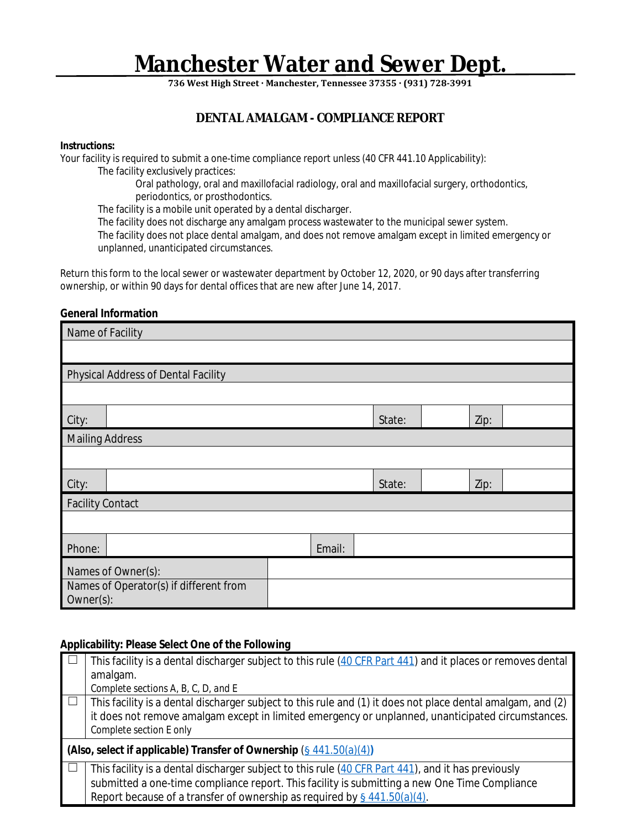# **Manchester Water and Sewer Dept.**

**736 West High Street · Manchester, Tennessee 37355 · (931) 728-3991**

# **DENTAL AMALGAM - COMPLIANCE REPORT**

### **Instructions:**

Your facility is required to submit a one-time compliance report unless (40 CFR 441.10 Applicability): The facility exclusively practices:

Oral pathology, oral and maxillofacial radiology, oral and maxillofacial surgery, orthodontics, periodontics, or prosthodontics.

The facility is a mobile unit operated by a dental discharger.

The facility does not discharge any amalgam process wastewater to the municipal sewer system.

The facility does not place dental amalgam, and does not remove amalgam except in limited emergency or unplanned, unanticipated circumstances.

Return this form to the local sewer or wastewater department by October 12, 2020, or 90 days after transferring ownership, or within 90 days for dental offices that are new after June 14, 2017.

# **General Information**

| Name of Facility                                    |                                     |  |  |        |  |      |  |
|-----------------------------------------------------|-------------------------------------|--|--|--------|--|------|--|
|                                                     |                                     |  |  |        |  |      |  |
|                                                     | Physical Address of Dental Facility |  |  |        |  |      |  |
|                                                     |                                     |  |  |        |  |      |  |
| City:                                               |                                     |  |  | State: |  | Zip: |  |
| <b>Mailing Address</b>                              |                                     |  |  |        |  |      |  |
|                                                     |                                     |  |  |        |  |      |  |
| City:                                               |                                     |  |  | State: |  | Zip: |  |
| <b>Facility Contact</b>                             |                                     |  |  |        |  |      |  |
|                                                     |                                     |  |  |        |  |      |  |
| Phone:                                              | Email:                              |  |  |        |  |      |  |
| Names of Owner(s):                                  |                                     |  |  |        |  |      |  |
| Names of Operator(s) if different from<br>Owner(s): |                                     |  |  |        |  |      |  |

# **Applicability: Please Select One of the Following**

|                | This facility is a dental discharger subject to this rule (40 CFR Part 441) and it places or removes dental |  |  |  |  |
|----------------|-------------------------------------------------------------------------------------------------------------|--|--|--|--|
|                | amalgam.                                                                                                    |  |  |  |  |
|                | Complete sections $A, B, C, D$ , and $E$                                                                    |  |  |  |  |
| $\Box$         | This facility is a dental discharger subject to this rule and (1) it does not place dental amalgam, and (2) |  |  |  |  |
|                | it does not remove amalgam except in limited emergency or unplanned, unanticipated circumstances.           |  |  |  |  |
|                | Complete section E only                                                                                     |  |  |  |  |
|                | (Also, select if applicable) Transfer of Ownership $(\frac{6}{9}441.50(a)(4))$                              |  |  |  |  |
| $\blacksquare$ | This facility is a dental discharger subject to this rule (40 CFR Part 441), and it has previously          |  |  |  |  |
|                | submitted a one-time compliance report. This facility is submitting a new One Time Compliance               |  |  |  |  |
|                | Report because of a transfer of ownership as required by $\frac{6441.50(a)(4)}{2}$ .                        |  |  |  |  |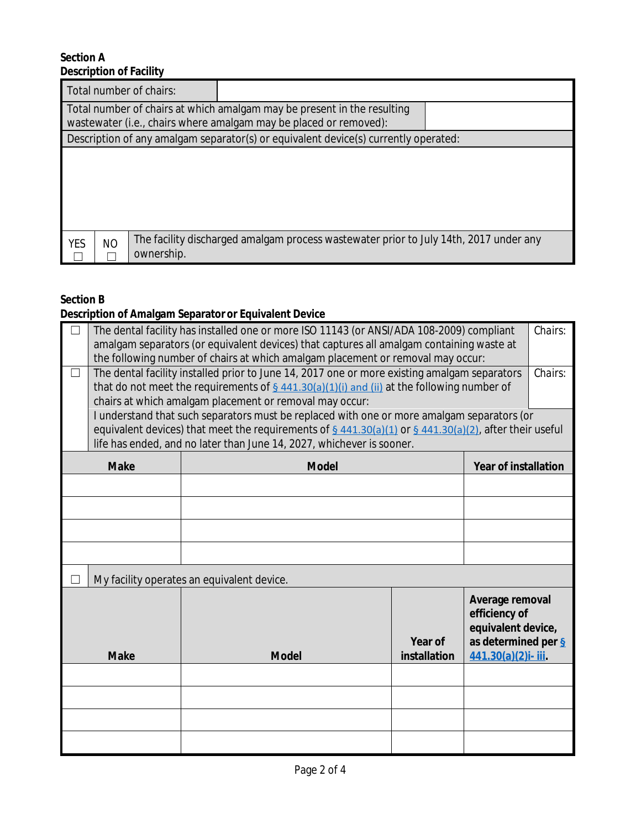# **Section A Description of Facility**

|                                                                                                                                              | Total number of chairs: |                                                                                       |  |  |
|----------------------------------------------------------------------------------------------------------------------------------------------|-------------------------|---------------------------------------------------------------------------------------|--|--|
| Total number of chairs at which amalgam may be present in the resulting<br>wastewater (i.e., chairs where amalgam may be placed or removed): |                         |                                                                                       |  |  |
|                                                                                                                                              |                         | Description of any amalgam separator(s) or equivalent device(s) currently operated:   |  |  |
|                                                                                                                                              |                         |                                                                                       |  |  |
| <b>NO</b><br><b>YES</b>                                                                                                                      | ownership.              | The facility discharged amalgam process wastewater prior to July 14th, 2017 under any |  |  |

# **Section B**

# **Description of Amalgam Separator or Equivalent Device**

| $\Box$      | The dental facility has installed one or more ISO 11143 (or ANSI/ADA 108-2009) compliant<br>amalgam separators (or equivalent devices) that captures all amalgam containing waste at<br>the following number of chairs at which amalgam placement or removal may occur:       |              |                             |                                                                                                     | Chairs: |
|-------------|-------------------------------------------------------------------------------------------------------------------------------------------------------------------------------------------------------------------------------------------------------------------------------|--------------|-----------------------------|-----------------------------------------------------------------------------------------------------|---------|
| $\Box$      | The dental facility installed prior to June 14, 2017 one or more existing amalgam separators<br>Chairs:<br>that do not meet the requirements of $\frac{6441.30(a)(1)(i)}{2}$ and (ii) at the following number of<br>chairs at which amalgam placement or removal may occur:   |              |                             |                                                                                                     |         |
|             | I understand that such separators must be replaced with one or more amalgam separators (or<br>equivalent devices) that meet the requirements of § 441.30(a)(1) or § 441.30(a)(2), after their useful<br>life has ended, and no later than June 14, 2027, whichever is sooner. |              |                             |                                                                                                     |         |
|             | <b>Make</b>                                                                                                                                                                                                                                                                   | <b>Model</b> | <b>Year of installation</b> |                                                                                                     |         |
|             |                                                                                                                                                                                                                                                                               |              |                             |                                                                                                     |         |
|             |                                                                                                                                                                                                                                                                               |              |                             |                                                                                                     |         |
|             |                                                                                                                                                                                                                                                                               |              |                             |                                                                                                     |         |
|             |                                                                                                                                                                                                                                                                               |              |                             |                                                                                                     |         |
| - 1         | My facility operates an equivalent device.                                                                                                                                                                                                                                    |              |                             |                                                                                                     |         |
| <b>Make</b> |                                                                                                                                                                                                                                                                               | <b>Model</b> | Year of<br>installation     | Average removal<br>efficiency of<br>equivalent device,<br>as determined per §<br>441.30(a)(2)i-iii. |         |
|             |                                                                                                                                                                                                                                                                               |              |                             |                                                                                                     |         |
|             |                                                                                                                                                                                                                                                                               |              |                             |                                                                                                     |         |
|             |                                                                                                                                                                                                                                                                               |              |                             |                                                                                                     |         |
|             |                                                                                                                                                                                                                                                                               |              |                             |                                                                                                     |         |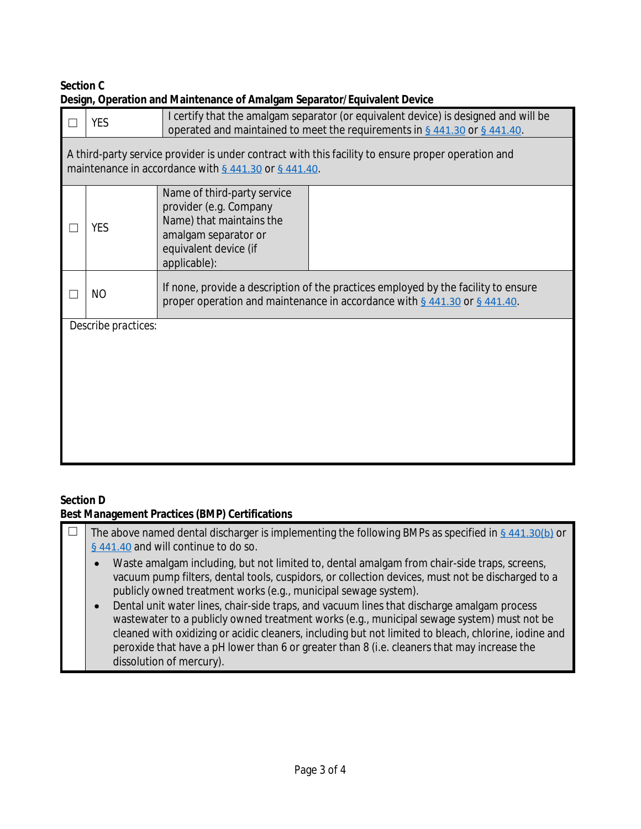# **Section C Design, Operation and Maintenance of Amalgam Separator/Equivalent Device**

|                                                                                                                                                            | <b>YES</b> | I certify that the amalgam separator (or equivalent device) is designed and will be<br>operated and maintained to meet the requirements in § 441.30 or § 441.40. |  |  |  |
|------------------------------------------------------------------------------------------------------------------------------------------------------------|------------|------------------------------------------------------------------------------------------------------------------------------------------------------------------|--|--|--|
| A third-party service provider is under contract with this facility to ensure proper operation and<br>maintenance in accordance with § 441.30 or § 441.40. |            |                                                                                                                                                                  |  |  |  |
|                                                                                                                                                            | <b>YES</b> | Name of third-party service<br>provider (e.g. Company<br>Name) that maintains the<br>amalgam separator or<br>equivalent device (if<br>applicable):               |  |  |  |
|                                                                                                                                                            | NO         | If none, provide a description of the practices employed by the facility to ensure<br>proper operation and maintenance in accordance with § 441.30 or § 441.40.  |  |  |  |
| Describe practices:                                                                                                                                        |            |                                                                                                                                                                  |  |  |  |
|                                                                                                                                                            |            |                                                                                                                                                                  |  |  |  |
|                                                                                                                                                            |            |                                                                                                                                                                  |  |  |  |
|                                                                                                                                                            |            |                                                                                                                                                                  |  |  |  |
|                                                                                                                                                            |            |                                                                                                                                                                  |  |  |  |

# **Section D**

# **Best Management Practices (BMP) Certifications**

| The above named dental discharger is implementing the following BMPs as specified in $\frac{6}{9}$ 441.30(b) or<br>§ 441.40 and will continue to do so.                                                                                                                                                                                                                                                                                                                                                                                                                                                                                                                                                                     |
|-----------------------------------------------------------------------------------------------------------------------------------------------------------------------------------------------------------------------------------------------------------------------------------------------------------------------------------------------------------------------------------------------------------------------------------------------------------------------------------------------------------------------------------------------------------------------------------------------------------------------------------------------------------------------------------------------------------------------------|
| Waste amalgam including, but not limited to, dental amalgam from chair-side traps, screens,<br>$\bullet$<br>vacuum pump filters, dental tools, cuspidors, or collection devices, must not be discharged to a<br>publicly owned treatment works (e.g., municipal sewage system).<br>Dental unit water lines, chair-side traps, and vacuum lines that discharge amalgam process<br>$\bullet$<br>wastewater to a publicly owned treatment works (e.g., municipal sewage system) must not be<br>cleaned with oxidizing or acidic cleaners, including but not limited to bleach, chlorine, iodine and<br>peroxide that have a pH lower than 6 or greater than 8 (i.e. cleaners that may increase the<br>dissolution of mercury). |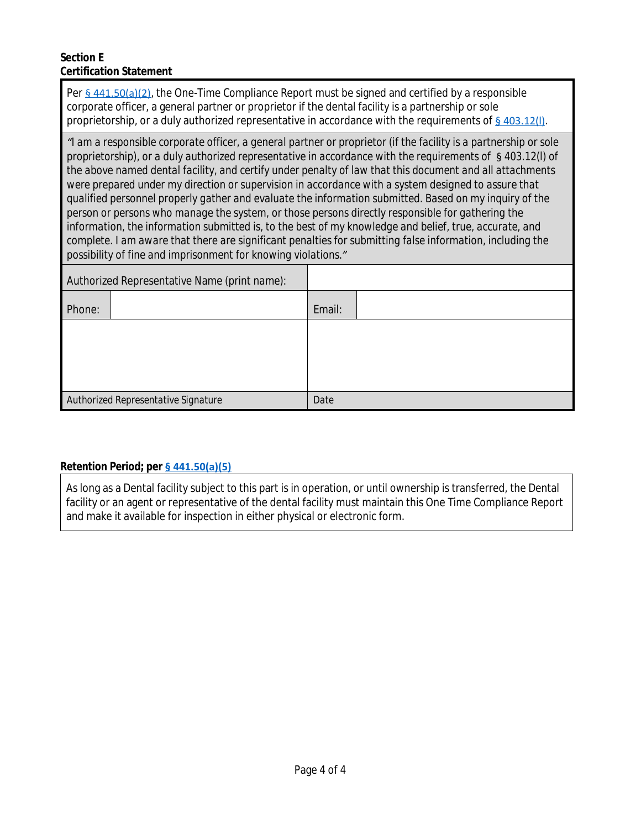# **Section E Certification Statement**

Per [§ 441.50\(a\)\(2\)](https://www.federalregister.gov/d/2017-12338/p-312), the One-Time Compliance Report must be signed and certified by a responsible corporate officer, a general partner or proprietor if the dental facility is a partnership or sole proprietorship, or a duly authorized representative in accordance with the requirements of § 403[.](https://www.ecfr.gov/cgi-bin/text-idx?SID=c72f4432eed7748fd20b225be969e21e&mc=true&node=se40.31.403_112&rgn=div8)12(I).

*["](https://www.ecfr.gov/cgi-bin/text-idx?SID=c72f4432eed7748fd20b225be969e21e&mc=true&node=se40.31.403_112&rgn=div8)I [am a responsible corporate officer, a general partner or proprietor \(if the facility is a partnership or sole](https://www.ecfr.gov/cgi-bin/text-idx?SID=c72f4432eed7748fd20b225be969e21e&mc=true&node=se40.31.403_112&rgn=div8)  [proprietorship\), or a duly authorized representative in accordance with the requirements of](https://www.ecfr.gov/cgi-bin/text-idx?SID=c72f4432eed7748fd20b225be969e21e&mc=true&node=se40.31.403_112&rgn=div8)* [§](https://www.ecfr.gov/cgi-bin/text-idx?SID=c72f4432eed7748fd20b225be969e21e&mc=true&node=se40.31.403_112&rgn=div8) *[403.12\(l\) of](https://www.ecfr.gov/cgi-bin/text-idx?SID=c72f4432eed7748fd20b225be969e21e&mc=true&node=se40.31.403_112&rgn=div8)  [the above named dental facility, and certify under penalty of law that this document and all attachments](https://www.ecfr.gov/cgi-bin/text-idx?SID=c72f4432eed7748fd20b225be969e21e&mc=true&node=se40.31.403_112&rgn=div8)  [were prepared under my direction or supervision in accordance with a system designed to assure that](https://www.ecfr.gov/cgi-bin/text-idx?SID=c72f4432eed7748fd20b225be969e21e&mc=true&node=se40.31.403_112&rgn=div8)  [qualified personnel properly gather and evaluate the information submitted. Based on my inquiry of the](https://www.ecfr.gov/cgi-bin/text-idx?SID=c72f4432eed7748fd20b225be969e21e&mc=true&node=se40.31.403_112&rgn=div8)  [person or persons who manage the system, or those persons directly responsible for gathering the](https://www.ecfr.gov/cgi-bin/text-idx?SID=c72f4432eed7748fd20b225be969e21e&mc=true&node=se40.31.403_112&rgn=div8)  [information, the information submitted is, to the best of my knowledge and belief, true, accurate, and](https://www.ecfr.gov/cgi-bin/text-idx?SID=c72f4432eed7748fd20b225be969e21e&mc=true&node=se40.31.403_112&rgn=div8)  [complete. I am aware that there are significant penalties for submitting false information, including the](https://www.ecfr.gov/cgi-bin/text-idx?SID=c72f4432eed7748fd20b225be969e21e&mc=true&node=se40.31.403_112&rgn=div8)  [possibility of fine and imprisonment for knowing violations](https://www.ecfr.gov/cgi-bin/text-idx?SID=c72f4432eed7748fd20b225be969e21e&mc=true&node=se40.31.403_112&rgn=div8).["](https://www.ecfr.gov/cgi-bin/text-idx?SID=c72f4432eed7748fd20b225be969e21e&mc=true&node=se40.31.403_112&rgn=div8)*

| Authorized Representative Name (print name): |        |
|----------------------------------------------|--------|
| Phone:                                       | Email: |
|                                              |        |
|                                              |        |
|                                              |        |
| Authorized Representative Signature          | Date   |

# *[Retention Period](https://www.ecfr.gov/cgi-bin/text-idx?SID=c72f4432eed7748fd20b225be969e21e&mc=true&node=se40.31.403_112&rgn=div8)***[; per](https://www.ecfr.gov/cgi-bin/text-idx?SID=c72f4432eed7748fd20b225be969e21e&mc=true&node=se40.31.403_112&rgn=div8) [§ 441.50\(a\)\(5\)](https://www.federalregister.gov/d/2017-12338/p-322)**

As long as a Dental facility subject to this part is in operation, or until ownership is transferred, the Dental facility or an agent or representative of the dental facility must maintain this One Time Compliance Report and make it available for inspection in either physical or electronic form.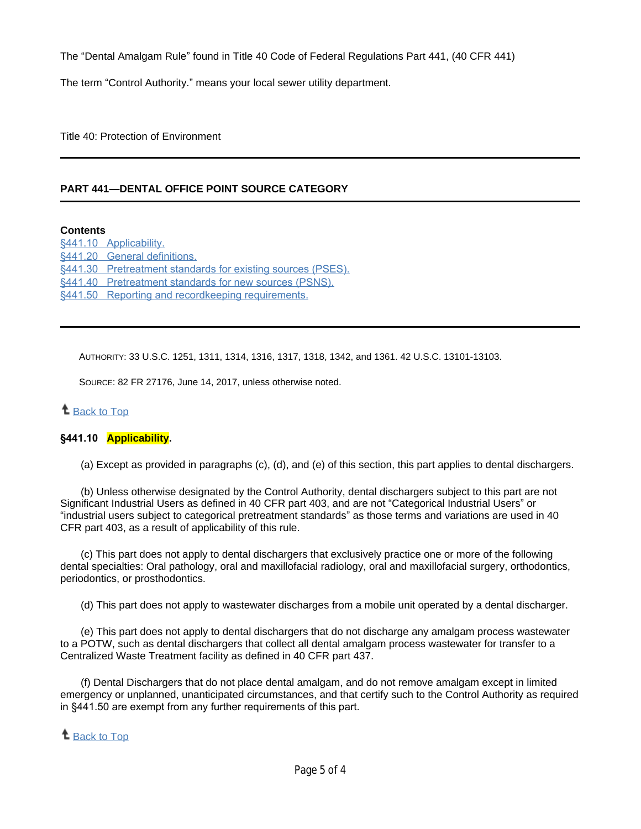The "Dental Amalgam Rule" found in Title 40 Code of Federal Regulations Part 441, (40 CFR 441)

The term "Control Authority." means your local sewer utility department.

Title 40: Protection of Environment

# **PART 441—DENTAL OFFICE POINT SOURCE CATEGORY**

#### **Contents**

[§441.10 Applicability.](https://www.ecfr.gov/cgi-bin/text-idx?mc=true&node=pt40.32.441&rgn=div5#se40.32.441_110) [§441.20 General definitions.](https://www.ecfr.gov/cgi-bin/text-idx?mc=true&node=pt40.32.441&rgn=div5#se40.32.441_120) [§441.30 Pretreatment standards for existing sources \(PSES\).](https://www.ecfr.gov/cgi-bin/text-idx?mc=true&node=pt40.32.441&rgn=div5#se40.32.441_130) [§441.40 Pretreatment standards for new sources \(PSNS\).](https://www.ecfr.gov/cgi-bin/text-idx?mc=true&node=pt40.32.441&rgn=div5#se40.32.441_140) [§441.50 Reporting and recordkeeping requirements.](https://www.ecfr.gov/cgi-bin/text-idx?mc=true&node=pt40.32.441&rgn=div5#se40.32.441_150)

AUTHORITY: 33 U.S.C. 1251, 1311, 1314, 1316, 1317, 1318, 1342, and 1361. 42 U.S.C. 13101-13103.

SOURCE: 82 FR 27176, June 14, 2017, unless otherwise noted.

# <sup>1</sup> [Back to Top](https://www.ecfr.gov/cgi-bin/text-idx?mc=true&node=pt40.32.441&rgn=div5#_top)

#### **§441.10 Applicability.**

(a) Except as provided in paragraphs (c), (d), and (e) of this section, this part applies to dental dischargers.

(b) Unless otherwise designated by the Control Authority, dental dischargers subject to this part are not Significant Industrial Users as defined in 40 CFR part 403, and are not "Categorical Industrial Users" or "industrial users subject to categorical pretreatment standards" as those terms and variations are used in 40 CFR part 403, as a result of applicability of this rule.

(c) This part does not apply to dental dischargers that exclusively practice one or more of the following dental specialties: Oral pathology, oral and maxillofacial radiology, oral and maxillofacial surgery, orthodontics, periodontics, or prosthodontics.

(d) This part does not apply to wastewater discharges from a mobile unit operated by a dental discharger.

(e) This part does not apply to dental dischargers that do not discharge any amalgam process wastewater to a POTW, such as dental dischargers that collect all dental amalgam process wastewater for transfer to a Centralized Waste Treatment facility as defined in 40 CFR part 437.

(f) Dental Dischargers that do not place dental amalgam, and do not remove amalgam except in limited emergency or unplanned, unanticipated circumstances, and that certify such to the Control Authority as required in §441.50 are exempt from any further requirements of this part.

### **1** [Back to Top](https://www.ecfr.gov/cgi-bin/text-idx?mc=true&node=pt40.32.441&rgn=div5#_top)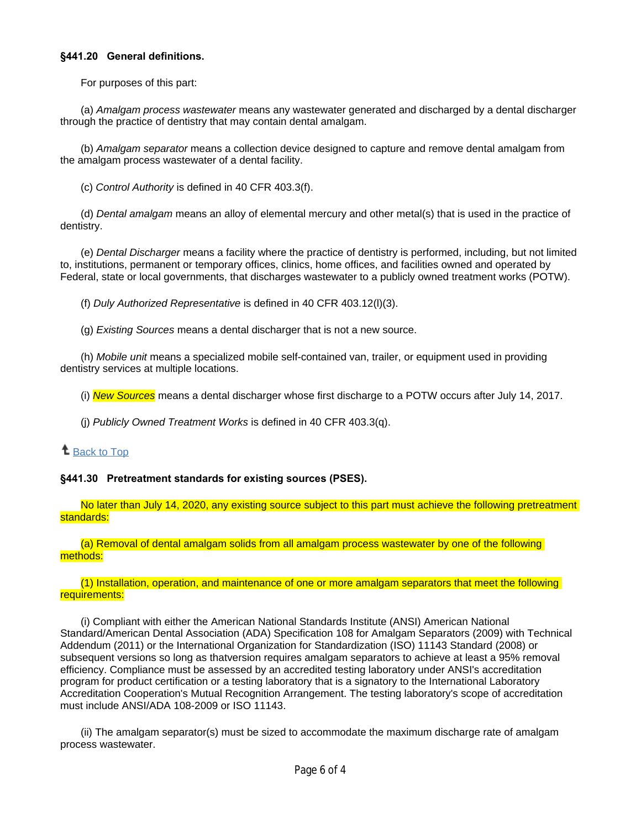#### **§441.20 General definitions.**

For purposes of this part:

(a) *Amalgam process wastewater* means any wastewater generated and discharged by a dental discharger through the practice of dentistry that may contain dental amalgam.

(b) *Amalgam separator* means a collection device designed to capture and remove dental amalgam from the amalgam process wastewater of a dental facility.

(c) *Control Authority* is defined in 40 CFR 403.3(f).

(d) *Dental amalgam* means an alloy of elemental mercury and other metal(s) that is used in the practice of dentistry.

(e) *Dental Discharger* means a facility where the practice of dentistry is performed, including, but not limited to, institutions, permanent or temporary offices, clinics, home offices, and facilities owned and operated by Federal, state or local governments, that discharges wastewater to a publicly owned treatment works (POTW).

(f) *Duly Authorized Representative* is defined in 40 CFR 403.12(l)(3).

(g) *Existing Sources* means a dental discharger that is not a new source.

(h) *Mobile unit* means a specialized mobile self-contained van, trailer, or equipment used in providing dentistry services at multiple locations.

(i) *New Sources* means a dental discharger whose first discharge to a POTW occurs after July 14, 2017.

(j) *Publicly Owned Treatment Works* is defined in 40 CFR 403.3(q).

# <sup>t</sup> [Back to Top](https://www.ecfr.gov/cgi-bin/text-idx?mc=true&node=pt40.32.441&rgn=div5#_top)

### **§441.30 Pretreatment standards for existing sources (PSES).**

No later than July 14, 2020, any existing source subject to this part must achieve the following pretreatment standards:

(a) Removal of dental amalgam solids from all amalgam process wastewater by one of the following methods:

#### (1) Installation, operation, and maintenance of one or more amalgam separators that meet the following requirements:

(i) Compliant with either the American National Standards Institute (ANSI) American National Standard/American Dental Association (ADA) Specification 108 for Amalgam Separators (2009) with Technical Addendum (2011) or the International Organization for Standardization (ISO) 11143 Standard (2008) or subsequent versions so long as thatversion requires amalgam separators to achieve at least a 95% removal efficiency. Compliance must be assessed by an accredited testing laboratory under ANSI's accreditation program for product certification or a testing laboratory that is a signatory to the International Laboratory Accreditation Cooperation's Mutual Recognition Arrangement. The testing laboratory's scope of accreditation must include ANSI/ADA 108-2009 or ISO 11143.

(ii) The amalgam separator(s) must be sized to accommodate the maximum discharge rate of amalgam process wastewater.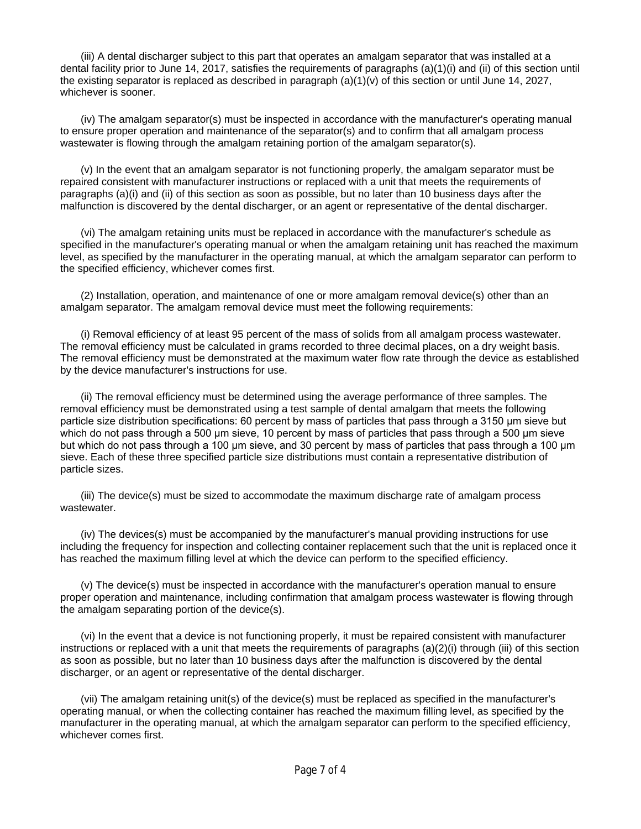(iii) A dental discharger subject to this part that operates an amalgam separator that was installed at a dental facility prior to June 14, 2017, satisfies the requirements of paragraphs (a)(1)(i) and (ii) of this section until the existing separator is replaced as described in paragraph (a)(1)(v) of this section or until June 14, 2027, whichever is sooner.

(iv) The amalgam separator(s) must be inspected in accordance with the manufacturer's operating manual to ensure proper operation and maintenance of the separator(s) and to confirm that all amalgam process wastewater is flowing through the amalgam retaining portion of the amalgam separator(s).

(v) In the event that an amalgam separator is not functioning properly, the amalgam separator must be repaired consistent with manufacturer instructions or replaced with a unit that meets the requirements of paragraphs (a)(i) and (ii) of this section as soon as possible, but no later than 10 business days after the malfunction is discovered by the dental discharger, or an agent or representative of the dental discharger.

(vi) The amalgam retaining units must be replaced in accordance with the manufacturer's schedule as specified in the manufacturer's operating manual or when the amalgam retaining unit has reached the maximum level, as specified by the manufacturer in the operating manual, at which the amalgam separator can perform to the specified efficiency, whichever comes first.

(2) Installation, operation, and maintenance of one or more amalgam removal device(s) other than an amalgam separator. The amalgam removal device must meet the following requirements:

(i) Removal efficiency of at least 95 percent of the mass of solids from all amalgam process wastewater. The removal efficiency must be calculated in grams recorded to three decimal places, on a dry weight basis. The removal efficiency must be demonstrated at the maximum water flow rate through the device as established by the device manufacturer's instructions for use.

(ii) The removal efficiency must be determined using the average performance of three samples. The removal efficiency must be demonstrated using a test sample of dental amalgam that meets the following particle size distribution specifications: 60 percent by mass of particles that pass through a 3150 µm sieve but which do not pass through a 500 µm sieve, 10 percent by mass of particles that pass through a 500 µm sieve but which do not pass through a 100 µm sieve, and 30 percent by mass of particles that pass through a 100 µm sieve. Each of these three specified particle size distributions must contain a representative distribution of particle sizes.

(iii) The device(s) must be sized to accommodate the maximum discharge rate of amalgam process wastewater.

(iv) The devices(s) must be accompanied by the manufacturer's manual providing instructions for use including the frequency for inspection and collecting container replacement such that the unit is replaced once it has reached the maximum filling level at which the device can perform to the specified efficiency.

(v) The device(s) must be inspected in accordance with the manufacturer's operation manual to ensure proper operation and maintenance, including confirmation that amalgam process wastewater is flowing through the amalgam separating portion of the device(s).

(vi) In the event that a device is not functioning properly, it must be repaired consistent with manufacturer instructions or replaced with a unit that meets the requirements of paragraphs (a)(2)(i) through (iii) of this section as soon as possible, but no later than 10 business days after the malfunction is discovered by the dental discharger, or an agent or representative of the dental discharger.

(vii) The amalgam retaining unit(s) of the device(s) must be replaced as specified in the manufacturer's operating manual, or when the collecting container has reached the maximum filling level, as specified by the manufacturer in the operating manual, at which the amalgam separator can perform to the specified efficiency, whichever comes first.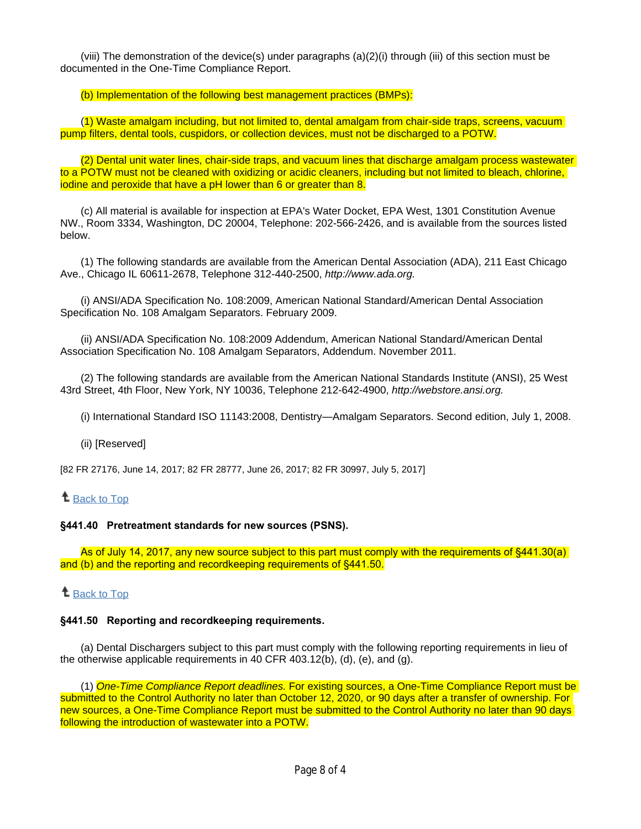(viii) The demonstration of the device(s) under paragraphs (a)(2)(i) through (iii) of this section must be documented in the One-Time Compliance Report.

(b) Implementation of the following best management practices (BMPs):

(1) Waste amalgam including, but not limited to, dental amalgam from chair-side traps, screens, vacuum pump filters, dental tools, cuspidors, or collection devices, must not be discharged to a POTW.

(2) Dental unit water lines, chair-side traps, and vacuum lines that discharge amalgam process wastewater to a POTW must not be cleaned with oxidizing or acidic cleaners, including but not limited to bleach, chlorine, iodine and peroxide that have a pH lower than 6 or greater than 8.

(c) All material is available for inspection at EPA's Water Docket, EPA West, 1301 Constitution Avenue NW., Room 3334, Washington, DC 20004, Telephone: 202-566-2426, and is available from the sources listed below.

(1) The following standards are available from the American Dental Association (ADA), 211 East Chicago Ave., Chicago IL 60611-2678, Telephone 312-440-2500, *http://www.ada.org.*

(i) ANSI/ADA Specification No. 108:2009, American National Standard/American Dental Association Specification No. 108 Amalgam Separators. February 2009.

(ii) ANSI/ADA Specification No. 108:2009 Addendum, American National Standard/American Dental Association Specification No. 108 Amalgam Separators, Addendum. November 2011.

(2) The following standards are available from the American National Standards Institute (ANSI), 25 West 43rd Street, 4th Floor, New York, NY 10036, Telephone 212-642-4900, *http://webstore.ansi.org.*

(i) International Standard ISO 11143:2008, Dentistry—Amalgam Separators. Second edition, July 1, 2008.

#### (ii) [Reserved]

[82 FR 27176, June 14, 2017; 82 FR 28777, June 26, 2017; 82 FR 30997, July 5, 2017]

### **t** [Back to Top](https://www.ecfr.gov/cgi-bin/text-idx?mc=true&node=pt40.32.441&rgn=div5#_top)

#### **§441.40 Pretreatment standards for new sources (PSNS).**

As of July 14, 2017, any new source subject to this part must comply with the requirements of §441.30(a) and (b) and the reporting and recordkeeping requirements of §441.50.

### **t** [Back to Top](https://www.ecfr.gov/cgi-bin/text-idx?mc=true&node=pt40.32.441&rgn=div5#_top)

#### **§441.50 Reporting and recordkeeping requirements.**

(a) Dental Dischargers subject to this part must comply with the following reporting requirements in lieu of the otherwise applicable requirements in 40 CFR 403.12(b), (d), (e), and (g).

(1) *One-Time Compliance Report deadlines.* For existing sources, a One-Time Compliance Report must be submitted to the Control Authority no later than October 12, 2020, or 90 days after a transfer of ownership. For new sources, a One-Time Compliance Report must be submitted to the Control Authority no later than 90 days following the introduction of wastewater into a POTW.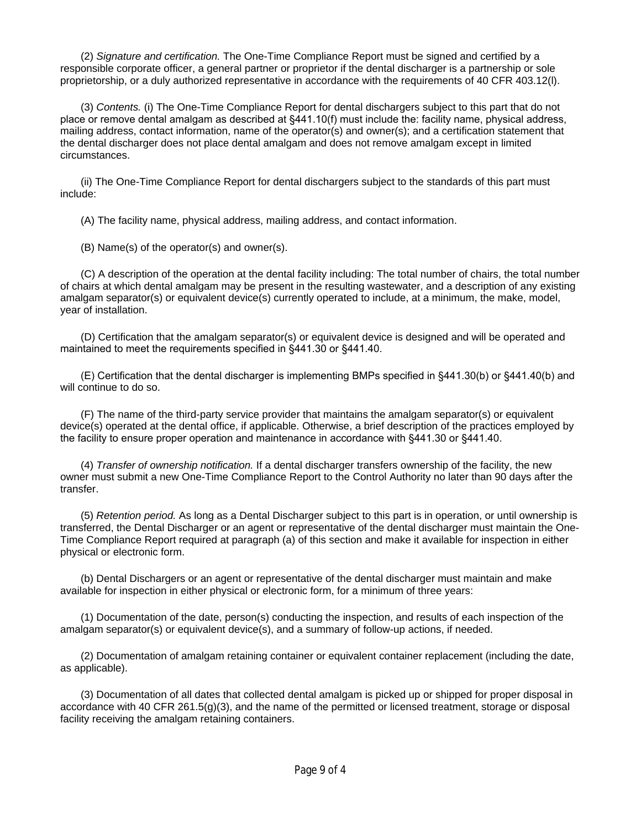(2) *Signature and certification.* The One-Time Compliance Report must be signed and certified by a responsible corporate officer, a general partner or proprietor if the dental discharger is a partnership or sole proprietorship, or a duly authorized representative in accordance with the requirements of 40 CFR 403.12(l).

(3) *Contents.* (i) The One-Time Compliance Report for dental dischargers subject to this part that do not place or remove dental amalgam as described at §441.10(f) must include the: facility name, physical address, mailing address, contact information, name of the operator(s) and owner(s); and a certification statement that the dental discharger does not place dental amalgam and does not remove amalgam except in limited circumstances.

(ii) The One-Time Compliance Report for dental dischargers subject to the standards of this part must include:

(A) The facility name, physical address, mailing address, and contact information.

(B) Name(s) of the operator(s) and owner(s).

(C) A description of the operation at the dental facility including: The total number of chairs, the total number of chairs at which dental amalgam may be present in the resulting wastewater, and a description of any existing amalgam separator(s) or equivalent device(s) currently operated to include, at a minimum, the make, model, year of installation.

(D) Certification that the amalgam separator(s) or equivalent device is designed and will be operated and maintained to meet the requirements specified in §441.30 or §441.40.

(E) Certification that the dental discharger is implementing BMPs specified in §441.30(b) or §441.40(b) and will continue to do so.

(F) The name of the third-party service provider that maintains the amalgam separator(s) or equivalent device(s) operated at the dental office, if applicable. Otherwise, a brief description of the practices employed by the facility to ensure proper operation and maintenance in accordance with §441.30 or §441.40.

(4) *Transfer of ownership notification.* If a dental discharger transfers ownership of the facility, the new owner must submit a new One-Time Compliance Report to the Control Authority no later than 90 days after the transfer.

(5) *Retention period.* As long as a Dental Discharger subject to this part is in operation, or until ownership is transferred, the Dental Discharger or an agent or representative of the dental discharger must maintain the One-Time Compliance Report required at paragraph (a) of this section and make it available for inspection in either physical or electronic form.

(b) Dental Dischargers or an agent or representative of the dental discharger must maintain and make available for inspection in either physical or electronic form, for a minimum of three years:

(1) Documentation of the date, person(s) conducting the inspection, and results of each inspection of the amalgam separator(s) or equivalent device(s), and a summary of follow-up actions, if needed.

(2) Documentation of amalgam retaining container or equivalent container replacement (including the date, as applicable).

(3) Documentation of all dates that collected dental amalgam is picked up or shipped for proper disposal in accordance with 40 CFR 261.5(g)(3), and the name of the permitted or licensed treatment, storage or disposal facility receiving the amalgam retaining containers.